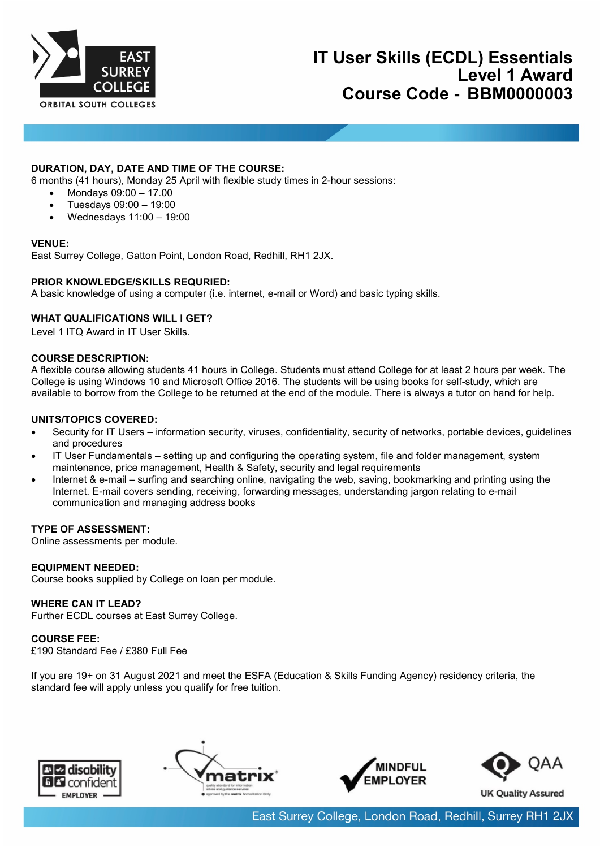

# **DURATION, DAY, DATE AND TIME OF THE COURSE:**

6 months (41 hours), Monday 25 April with flexible study times in 2-hour sessions:

- Mondays 09:00 17.00
- Tuesdays 09:00 19:00
- Wednesdays 11:00 19:00

### **VENUE:**

East Surrey College, Gatton Point, London Road, Redhill, RH1 2JX.

## **PRIOR KNOWLEDGE/SKILLS REQURIED:**

A basic knowledge of using a computer (i.e. internet, e-mail or Word) and basic typing skills.

# **WHAT QUALIFICATIONS WILL I GET?**

Level 1 ITQ Award in IT User Skills.

### **COURSE DESCRIPTION:**

A flexible course allowing students 41 hours in College. Students must attend College for at least 2 hours per week. The College is using Windows 10 and Microsoft Office 2016. The students will be using books for self-study, which are available to borrow from the College to be returned at the end of the module. There is always a tutor on hand for help.

### **UNITS/TOPICS COVERED:**

- Security for IT Users information security, viruses, confidentiality, security of networks, portable devices, guidelines and procedures
- IT User Fundamentals setting up and configuring the operating system, file and folder management, system maintenance, price management, Health & Safety, security and legal requirements
- Internet & e-mail surfing and searching online, navigating the web, saving, bookmarking and printing using the Internet. E-mail covers sending, receiving, forwarding messages, understanding jargon relating to e-mail communication and managing address books

#### **TYPE OF ASSESSMENT:**

Online assessments per module.

## **EQUIPMENT NEEDED:**

Course books supplied by College on loan per module.

**WHERE CAN IT LEAD?** Further ECDL courses at East Surrey College.

## **COURSE FEE:**

£190 Standard Fee / £380 Full Fee

If you are 19+ on 31 August 2021 and meet the ESFA (Education & Skills Funding Agency) residency criteria, the standard fee will apply unless you qualify for free tuition.